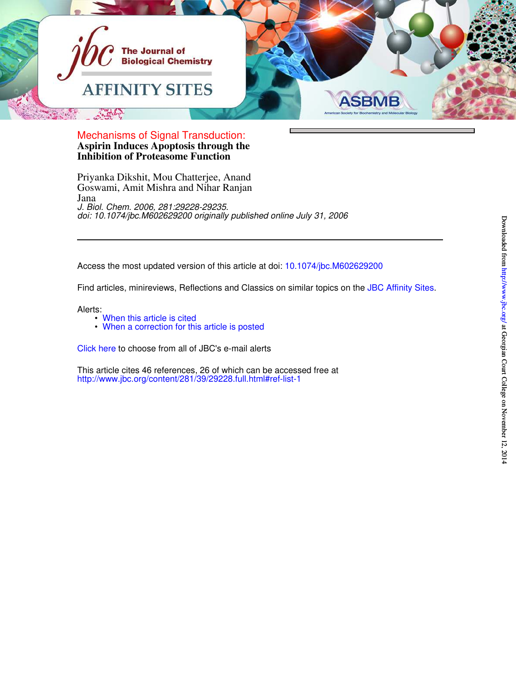

**Inhibition of Proteasome Function Aspirin Induces Apoptosis through the** Mechanisms of Signal Transduction:

Jana Goswami, Amit Mishra and Nihar Ranjan Priyanka Dikshit, Mou Chatterjee, Anand *doi: 10.1074/jbc.M602629200 originally published online July 31, 2006 J. Biol. Chem. 2006, 281:29228-29235.*

Access the most updated version of this article at doi: 10.1074/jbc.M602629200

Find articles, minireviews, Reflections and Classics on similar topics on the JBC Affinity Sites.

Alerts:

- When this article is cited
- When a correction for this article is posted

Click here to choose from all of JBC's e-mail alerts

http://www.jbc.org/content/281/39/29228.full.html#ref-list-1 This article cites 46 references, 26 of which can be accessed free at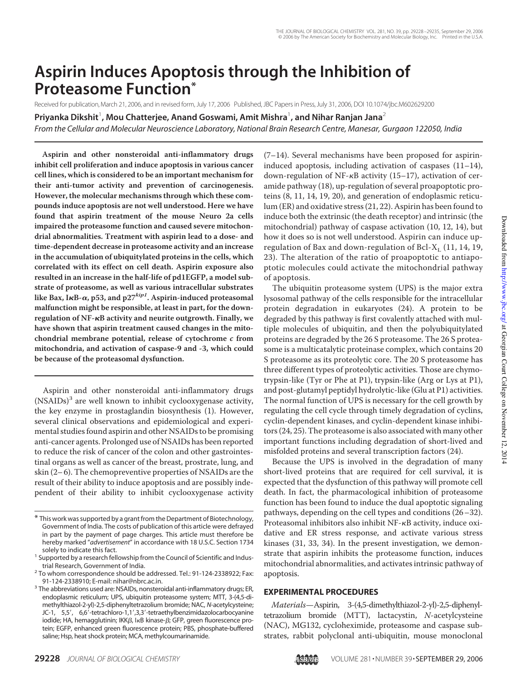# **Aspirin Induces Apoptosis through the Inhibition of Proteasome Function\***

Received for publication, March 21, 2006, and in revised form, July 17, 2006 Published, JBC Papers in Press, July 31, 2006, DOI 10.1074/jbc.M602629200

Priyanka Dikshit<sup>1</sup>, Mou Chatterjee, Anand Goswami, Amit Mishra<sup>1</sup>, and Nihar Ranjan Jana<sup>2</sup>

*From the Cellular and Molecular Neuroscience Laboratory, National Brain Research Centre, Manesar, Gurgaon 122050, India*

**Aspirin and other nonsteroidal anti-inflammatory drugs inhibit cell proliferation and induce apoptosis in various cancer cell lines, which is considered to be an important mechanism for their anti-tumor activity and prevention of carcinogenesis. However, the molecular mechanisms through which these compounds induce apoptosis are not well understood. Here we have found that aspirin treatment of the mouse Neuro 2a cells impaired the proteasome function and caused severe mitochondrial abnormalities. Treatment with aspirin lead to a dose- and time-dependent decrease in proteasome activity and an increase in the accumulation of ubiquitylated proteins in the cells, which correlated with its effect on cell death. Aspirin exposure also resulted in an increase in the half-life of pd1EGFP, a model substrate of proteasome, as well as various intracellular substrates** like Bax, I**κ**B-α, p53, and p27<sup>kip1</sup>. Aspirin-induced proteasomal **malfunction might be responsible, at least in part, for the downregulation of NF-B activity and neurite outgrowth. Finally, we have shown that aspirin treatment caused changes in the mitochondrial membrane potential, release of cytochrome c from mitochondria, and activation of caspase-9 and -3, which could be because of the proteasomal dysfunction.**

Aspirin and other nonsteroidal anti-inflammatory drugs (NSAIDs)<sup>3</sup> are well known to inhibit cyclooxygenase activity, the key enzyme in prostaglandin biosynthesis (1). However, several clinical observations and epidemiological and experimental studies found aspirin and other NSAIDs to be promising anti-cancer agents. Prolonged use of NSAIDs has been reported to reduce the risk of cancer of the colon and other gastrointestinal organs as well as cancer of the breast, prostrate, lung, and skin (2– 6). The chemopreventive properties of NSAIDs are the result of their ability to induce apoptosis and are possibly independent of their ability to inhibit cyclooxygenase activity

(7–14). Several mechanisms have been proposed for aspirininduced apoptosis, including activation of caspases (11–14), down-regulation of NF- $\kappa$ B activity (15–17), activation of ceramide pathway (18), up-regulation of several proapoptotic proteins (8, 11, 14, 19, 20), and generation of endoplasmic reticulum (ER) and oxidative stress (21, 22). Aspirin has been found to induce both the extrinsic (the death receptor) and intrinsic (the mitochondrial) pathway of caspase activation (10, 12, 14), but how it does so is not well understood. Aspirin can induce upregulation of Bax and down-regulation of Bcl-X<sub>L</sub> (11, 14, 19, 23). The alteration of the ratio of proapoptotic to antiapoptotic molecules could activate the mitochondrial pathway of apoptosis.

The ubiquitin proteasome system (UPS) is the major extra lysosomal pathway of the cells responsible for the intracellular protein degradation in eukaryotes (24). A protein to be degraded by this pathway is first covalently attached with multiple molecules of ubiquitin, and then the polyubiquitylated proteins are degraded by the 26 S proteasome. The 26 S proteasome is a multicatalytic proteinase complex, which contains 20 S proteasome as its proteolytic core. The 20 S proteasome has three different types of proteolytic activities. Those are chymotrypsin-like (Tyr or Phe at P1), trypsin-like (Arg or Lys at P1), and post-glutamyl peptidyl hydrolytic-like (Glu at P1) activities. The normal function of UPS is necessary for the cell growth by regulating the cell cycle through timely degradation of cyclins, cyclin-dependent kinases, and cyclin-dependent kinase inhibitors (24, 25). The proteasome is also associated with many other important functions including degradation of short-lived and misfolded proteins and several transcription factors (24).

Because the UPS is involved in the degradation of many short-lived proteins that are required for cell survival, it is expected that the dysfunction of this pathway will promote cell death. In fact, the pharmacological inhibition of proteasome function has been found to induce the dual apoptotic signaling pathways, depending on the cell types and conditions (26–32). Proteasomal inhibitors also inhibit NF-KB activity, induce oxidative and ER stress response, and activate various stress kinases (31, 33, 34). In the present investigation, we demonstrate that aspirin inhibits the proteasome function, induces mitochondrial abnormalities, and activates intrinsic pathway of apoptosis.

## **EXPERIMENTAL PROCEDURES**

Materials—Aspirin, 3-(4,5-dimethylthiazol-2-yl)-2,5-diphenyltetrazolium bromide (MTT), lactacystin, N-acetylcysteine (NAC), MG132, cycloheximide, proteasome and caspase substrates, rabbit polyclonal anti-ubiquitin, mouse monoclonal



<sup>\*</sup> This work was supported by a grant from the Department of Biotechnology, Government of India. The costs of publication of this article were defrayed in part by the payment of page charges. This article must therefore be hereby marked "*advertisement*" in accordance with 18 U.S.C. Section 1734 solely to indicate this fact.

<sup>&</sup>lt;sup>1</sup> Supported by a research fellowship from the Council of Scientific and Industrial Research, Government of India.

<sup>&</sup>lt;sup>2</sup> To whom correspondence should be addressed. Tel.: 91-124-2338922; Fax: 91-124-2338910; E-mail: nihar@nbrc.ac.in.

<sup>&</sup>lt;sup>3</sup> The abbreviations used are: NSAIDs, nonsteroidal anti-inflammatory drugs; ER, endoplasmic reticulum; UPS, ubiquitin proteasome system; MTT, 3-(4,5-dimethylthiazol-2-yl)-2,5-diphenyltetrazolium bromide; NAC, *N*-acetylcysteine; JC-1, 5,5', 6,6'-tetrachloro-1,1',3,3'-tetraethylbenzimidazolocarbocyanine iodide; HA, hemagglutinin; IKK $\beta$ , I<sub>K</sub>B kinase- $\beta$ ; GFP, green fluorescence protein; EGFP, enhanced green fluorescence protein; PBS, phosphate-buffered saline; Hsp, heat shock protein; MCA, methylcoumarinamide.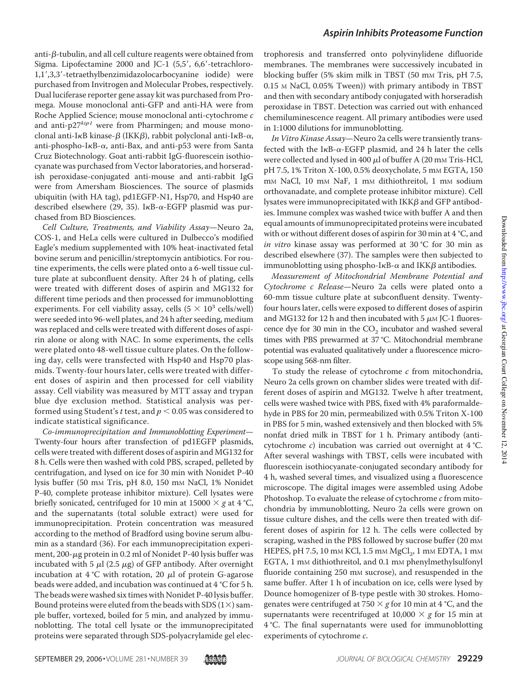anti- $\beta$ -tubulin, and all cell culture reagents were obtained from Sigma. Lipofectamine 2000 and JC-1 (5,5', 6,6'-tetrachloro-1,1,3,3-tetraethylbenzimidazolocarbocyanine iodide) were purchased from Invitrogen and Molecular Probes, respectively. Dual luciferase reporter gene assay kit was purchased from Promega. Mouse monoclonal anti-GFP and anti-HA were from Roche Applied Science; mouse monoclonal anti-cytochrome c and anti- $p27^{kip1}$  were from Pharmingen; and mouse monoclonal anti-I $\kappa$ B kinase- $\beta$  (IKK $\beta$ ), rabbit polyclonal anti-I $\kappa$ B- $\alpha$ , anti-phospho-I $\kappa$ B- $\alpha$ , anti-Bax, and anti-p53 were from Santa Cruz Biotechnology. Goat anti-rabbit IgG-fluorescein isothiocyanate was purchased from Vector laboratories, and horseradish peroxidase-conjugated anti-mouse and anti-rabbit IgG were from Amersham Biosciences. The source of plasmids ubiquitin (with HA tag), pd1EGFP-N1, Hsp70, and Hsp40 are described elsewhere (29, 35). I $\kappa$ B- $\alpha$ -EGFP plasmid was purchased from BD Biosciences.

Cell Culture, Treatments, and Viability Assay—Neuro 2a, COS-1, and HeLa cells were cultured in Dulbecco's modified Eagle's medium supplemented with 10% heat-inactivated fetal bovine serum and penicillin/streptomycin antibiotics. For routine experiments, the cells were plated onto a 6-well tissue culture plate at subconfluent density. After 24 h of plating, cells were treated with different doses of aspirin and MG132 for different time periods and then processed for immunoblotting experiments. For cell viability assay, cells  $(5 \times 10^3 \text{ cells/well})$ were seeded into 96-well plates, and 24 h after seeding, medium was replaced and cells were treated with different doses of aspirin alone or along with NAC. In some experiments, the cells were plated onto 48-well tissue culture plates. On the following day, cells were transfected with Hsp40 and Hsp70 plasmids. Twenty-four hours later, cells were treated with different doses of aspirin and then processed for cell viability assay. Cell viability was measured by MTT assay and trypan blue dye exclusion method. Statistical analysis was performed using Student's t test, and  $p < 0.05$  was considered to indicate statistical significance.

Co-immunoprecipitation and Immunoblotting Experiment— Twenty-four hours after transfection of pd1EGFP plasmids, cells were treated with different doses of aspirin and MG132 for 8 h. Cells were then washed with cold PBS, scraped, pelleted by centrifugation, and lysed on ice for 30 min with Nonidet P-40 lysis buffer (50 mM Tris, pH 8.0, 150 mM NaCl, 1% Nonidet P-40, complete protease inhibitor mixture). Cell lysates were briefly sonicated, centrifuged for 10 min at 15000  $\times$  g at 4 °C, and the supernatants (total soluble extract) were used for immunoprecipitation. Protein concentration was measured according to the method of Bradford using bovine serum albumin as a standard (36). For each immunoprecipitation experiment,  $200 - \mu$ g protein in 0.2 ml of Nonidet P-40 lysis buffer was incubated with 5  $\mu$ l (2.5  $\mu$ g) of GFP antibody. After overnight incubation at  $4^{\circ}$ C with rotation, 20  $\mu$ l of protein G-agarose beads were added, and incubation was continued at 4 °C for 5 h. The beads were washed six times with Nonidet P-40 lysis buffer. Bound proteins were eluted from the beads with SDS  $(1\times)$  sample buffer, vortexed, boiled for 5 min, and analyzed by immunoblotting. The total cell lysate or the immunoprecipitated proteins were separated through SDS-polyacrylamide gel electrophoresis and transferred onto polyvinylidene difluoride membranes. The membranes were successively incubated in blocking buffer (5% skim milk in TBST (50 mm Tris, pH 7.5, 0.15 M NaCl, 0.05% Tween)) with primary antibody in TBST and then with secondary antibody conjugated with horseradish peroxidase in TBST. Detection was carried out with enhanced chemiluminescence reagent. All primary antibodies were used in 1:1000 dilutions for immunoblotting.

In Vitro Kinase Assay—Neuro 2a cells were transiently transfected with the  $I \kappa B$ - $\alpha$ -EGFP plasmid, and 24 h later the cells were collected and lysed in 400  $\mu$ l of buffer A (20 mm Tris-HCl, pH 7.5, 1% Triton X-100, 0.5% deoxycholate, 5 mm EGTA, 150 m<sub>M</sub> NaCl, 10 m<sub>M</sub> NaF, 1 m<sub>M</sub> dithiothreitol, 1 m<sub>M</sub> sodium orthovanadate, and complete protease inhibitor mixture). Cell lysates were immunoprecipitated with IKK $\beta$  and GFP antibodies. Immune complex was washed twice with buffer A and then equal amounts of immunoprecipitated proteins were incubated with or without different doses of aspirin for 30 min at 4 °C, and in vitro kinase assay was performed at 30 °C for 30 min as described elsewhere (37). The samples were then subjected to immunoblotting using phospho-I $\kappa$ B- $\alpha$  and IKK $\beta$  antibodies.

Measurement of Mitochondrial Membrane Potential and Cytochrome c Release—Neuro 2a cells were plated onto a 60-mm tissue culture plate at subconfluent density. Twentyfour hours later, cells were exposed to different doses of aspirin and MG132 for 12 h and then incubated with 5  $\mu$ M JC-1 fluorescence dye for 30 min in the  $CO<sub>2</sub>$  incubator and washed several times with PBS prewarmed at 37 °C. Mitochondrial membrane potential was evaluated qualitatively under a fluorescence microscope using 568-nm filter.

To study the release of cytochrome  $c$  from mitochondria, Neuro 2a cells grown on chamber slides were treated with different doses of aspirin and MG132. Twelve h after treatment, cells were washed twice with PBS, fixed with 4% paraformaldehyde in PBS for 20 min, permeabilized with 0.5% Triton X-100 in PBS for 5 min, washed extensively and then blocked with 5% nonfat dried milk in TBST for 1 h. Primary antibody (anticytochrome c) incubation was carried out overnight at 4 °C. After several washings with TBST, cells were incubated with fluorescein isothiocyanate-conjugated secondary antibody for 4 h, washed several times, and visualized using a fluorescence microscope. The digital images were assembled using Adobe Photoshop. To evaluate the release of cytochrome c from mitochondria by immunoblotting, Neuro 2a cells were grown on tissue culture dishes, and the cells were then treated with different doses of aspirin for 12 h. The cells were collected by scraping, washed in the PBS followed by sucrose buffer (20 mm HEPES, pH 7.5, 10 mm KCl, 1.5 mm  $MgCl<sub>2</sub>$ , 1 mm EDTA, 1 mm EGTA, 1 mm dithiothreitol, and 0.1 mm phenylmethylsulfonyl fluoride containing 250 mm sucrose), and resuspended in the same buffer. After 1 h of incubation on ice, cells were lysed by Dounce homogenizer of B-type pestle with 30 strokes. Homogenates were centrifuged at  $750 \times g$  for 10 min at 4 °C, and the supernatants were recentrifuged at  $10,000 \times g$  for 15 min at 4 °C. The final supernatants were used for immunoblotting experiments of cytochrome c.

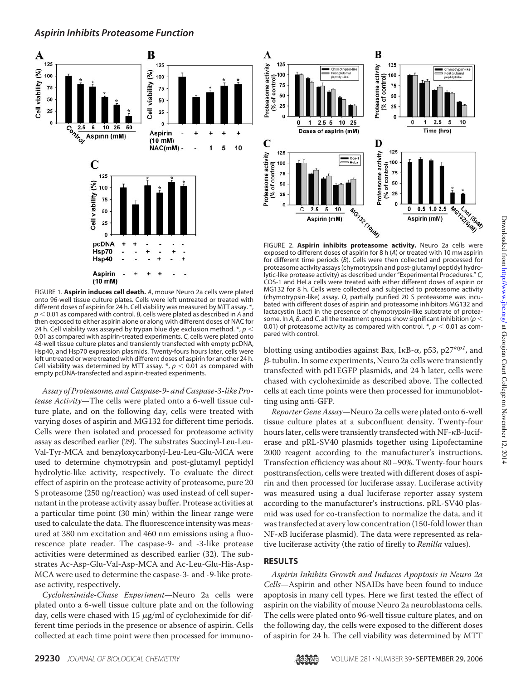

FIGURE 1. **Aspirin induces cell death.** *A*, mouse Neuro 2a cells were plated onto 96-well tissue culture plates. Cells were left untreated or treated with different doses of aspirin for 24 h. Cell viability was measured by MTT assay. ' *p* 0.01 as compared with control. *B*, cells were plated as described in *A* and then exposed to either aspirin alone or along with different doses of NAC for 24 h. Cell viability was assayed by trypan blue dye exclusion method. \*, *p* 0.01 as compared with aspirin-treated experiments. *C*, cells were plated onto 48-well tissue culture plates and transiently transfected with empty pcDNA, Hsp40, and Hsp70 expression plasmids. Twenty-fours hours later, cells were left untreated or were treated with different doses of aspirin for another 24 h. Cell viability was determined by MTT assay.  $\ast$ ,  $p < 0.01$  as compared with empty pcDNA-transfected and aspirin-treated experiments.

Assay of Proteasome, and Caspase-9- and Caspase-3-like Protease Activity—The cells were plated onto a 6-well tissue culture plate, and on the following day, cells were treated with varying doses of aspirin and MG132 for different time periods. Cells were then isolated and processed for proteasome activity assay as described earlier (29). The substrates Succinyl-Leu-Leu-Val-Tyr-MCA and benzyloxycarbonyl-Leu-Leu-Glu-MCA were used to determine chymotrypsin and post-glutamyl peptidyl hydrolytic-like activity, respectively. To evaluate the direct effect of aspirin on the protease activity of proteasome, pure 20 S proteasome (250 ng/reaction) was used instead of cell supernatant in the protease activity assay buffer. Protease activities at a particular time point (30 min) within the linear range were used to calculate the data. The fluorescence intensity was measured at 380 nm excitation and 460 nm emissions using a fluorescence plate reader. The caspase-9- and -3-like protease activities were determined as described earlier (32). The substrates Ac-Asp-Glu-Val-Asp-MCA and Ac-Leu-Glu-His-Asp-MCA were used to determine the caspase-3- and -9-like protease activity, respectively.

Cycloheximide-Chase Experiment—Neuro 2a cells were plated onto a 6-well tissue culture plate and on the following day, cells were chased with  $15 \mu g/ml$  of cycloheximide for different time periods in the presence or absence of aspirin. Cells collected at each time point were then processed for immuno-



FIGURE 2. **Aspirin inhibits proteasome activity.** Neuro 2a cells were exposed to different doses of aspirin for 8 h (A) or treated with 10 mm aspirin for different time periods (*B*). Cells were then collected and processed for proteasome activity assays (chymotrypsin and post-glutamyl peptidyl hydrolytic-like protease activity) as described under "Experimental Procedures." *C*, COS-1 and HeLa cells were treated with either different doses of aspirin or MG132 for 8 h. Cells were collected and subjected to proteasome activity (chymotrypsin-like) assay. *D*, partially purified 20 S proteasome was incubated with different doses of aspirin and proteasome inhibitors MG132 and lactacystin (*Lact*) in the presence of chymotrypsin-like substrate of proteasome. In *A*, *B*, and *C*, all the treatment groups show significant inhibition (*p* 0.01) of proteasome activity as compared with control.  $*, p < 0.01$  as compared with control.

blotting using antibodies against Bax, I<sub>K</sub>B- $\alpha$ , p53, p27<sup>kip1</sup>, and  $\beta$ -tubulin. In some experiments, Neuro 2a cells were transiently transfected with pd1EGFP plasmids, and 24 h later, cells were chased with cycloheximide as described above. The collected cells at each time points were then processed for immunoblotting using anti-GFP.

Reporter Gene Assay—Neuro 2a cells were plated onto 6-well tissue culture plates at a subconfluent density. Twenty-four hours later, cells were transiently transfected with  $NF - \kappa B$ -luciferase and pRL-SV40 plasmids together using Lipofectamine 2000 reagent according to the manufacturer's instructions. Transfection efficiency was about 80–90%. Twenty-four hours posttransfection, cells were treated with different doses of aspirin and then processed for luciferase assay. Luciferase activity was measured using a dual luciferase reporter assay system according to the manufacturer's instructions. pRL-SV40 plasmid was used for co-transfection to normalize the data, and it was transfected at avery low concentration (150-fold lower than  $NF$ - $\kappa$ B luciferase plasmid). The data were represented as relative luciferase activity (the ratio of firefly to Renilla values).

## **RESULTS**

Aspirin Inhibits Growth and Induces Apoptosis in Neuro 2a Cells—Aspirin and other NSAIDs have been found to induce apoptosis in many cell types. Here we first tested the effect of aspirin on the viability of mouse Neuro 2a neuroblastoma cells. The cells were plated onto 96-well tissue culture plates, and on the following day, the cells were exposed to the different doses of aspirin for 24 h. The cell viability was determined by MTT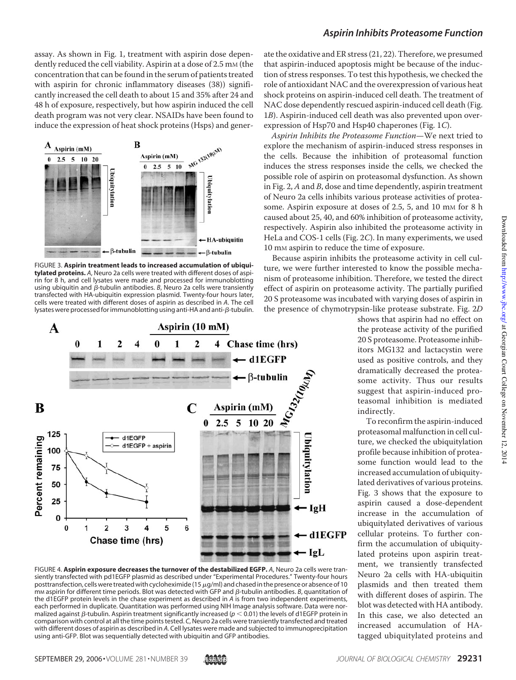assay. As shown in Fig. 1, treatment with aspirin dose dependently reduced the cell viability. Aspirin at a dose of 2.5 mm (the concentration that can be found in the serum of patients treated with aspirin for chronic inflammatory diseases (38)) significantly increased the cell death to about 15 and 35% after 24 and 48 h of exposure, respectively, but how aspirin induced the cell death program was not very clear. NSAIDs have been found to induce the expression of heat shock proteins (Hsps) and gener-



FIGURE 3. **Aspirin treatment leads to increased accumulation of ubiquitylated proteins.** *A*, Neuro 2a cells were treated with different doses of aspirin for 8 h, and cell lysates were made and processed for immunoblotting using ubiquitin and  $\beta$ -tubulin antibodies. *B*, Neuro 2a cells were transiently transfected with HA-ubiquitin expression plasmid. Twenty-four hours later, cells were treated with different doses of aspirin as described in *A*. The cell lysates were processed for immunoblotting using anti-HA and anti- $\beta$ -tubulin.



FIGURE 4. **Aspirin exposure decreases the turnover of the destabilized EGFP.** *A*, Neuro 2a cells were transiently transfected with pd1EGFP plasmid as described under "Experimental Procedures." Twenty-four hours posttransfection, cells were treated with cycloheximide (15  $\mu$ g/ml) and chased in the presence or absence of 10 mm aspirin for different time periods. Blot was detected with GFP and  $\beta$ -tubulin antibodies. B, quantitation of the d1EGFP protein levels in the chase experiment as described in *A* is from two independent experiments, each performed in duplicate. Quantitation was performed using NIH Image analysis software. Data were normalized against  $\beta$ -tubulin. Aspirin treatment significantly increased ( $p < 0.01$ ) the levels of d1EGFP protein in comparison with control at all the time points tested. *C*, Neuro 2a cells were transiently transfected and treated with different doses of aspirin as described in *A*. Cell lysates were made and subjected to immunoprecipitation using anti-GFP. Blot was sequentially detected with ubiquitin and GFP antibodies.

#### *Aspirin Inhibits Proteasome Function*

ate the oxidative and ER stress (21, 22). Therefore, we presumed that aspirin-induced apoptosis might be because of the induction of stress responses. To test this hypothesis, we checked the role of antioxidant NAC and the overexpression of various heat shock proteins on aspirin-induced cell death. The treatment of NAC dose dependently rescued aspirin-induced cell death (Fig. 1B). Aspirin-induced cell death was also prevented upon overexpression of Hsp70 and Hsp40 chaperones (Fig. 1C).

Aspirin Inhibits the Proteasome Function—We next tried to explore the mechanism of aspirin-induced stress responses in the cells. Because the inhibition of proteasomal function induces the stress responses inside the cells, we checked the possible role of aspirin on proteasomal dysfunction. As shown in Fig. 2,  $A$  and  $B$ , dose and time dependently, aspirin treatment of Neuro 2a cells inhibits various protease activities of proteasome. Aspirin exposure at doses of 2.5, 5, and 10 mm for 8 h caused about 25, 40, and 60% inhibition of proteasome activity, respectively. Aspirin also inhibited the proteasome activity in HeLa and COS-1 cells (Fig. 2C). In many experiments, we used 10 mM aspirin to reduce the time of exposure.

Because aspirin inhibits the proteasome activity in cell culture, we were further interested to know the possible mechanism of proteasome inhibition. Therefore, we tested the direct effect of aspirin on proteasome activity. The partially purified 20 S proteasome was incubated with varying doses of aspirin in the presence of chymotrypsin-like protease substrate. Fig. 2D

> shows that aspirin had no effect on the protease activity of the purified 20 S proteasome. Proteasome inhibitors MG132 and lactacystin were used as positive controls, and they dramatically decreased the proteasome activity. Thus our results suggest that aspirin-induced proteasomal inhibition is mediated indirectly.

To reconfirm the aspirin-induced proteasomal malfunction in cell culture, we checked the ubiquitylation profile because inhibition of proteasome function would lead to the increased accumulation of ubiquitylated derivatives of various proteins. Fig. 3 shows that the exposure to aspirin caused a dose-dependent increase in the accumulation of ubiquitylated derivatives of various cellular proteins. To further confirm the accumulation of ubiquitylated proteins upon aspirin treatment, we transiently transfected Neuro 2a cells with HA-ubiquitin plasmids and then treated them with different doses of aspirin. The blot was detected with HA antibody. In this case, we also detected an increased accumulation of HAtagged ubiquitylated proteins and

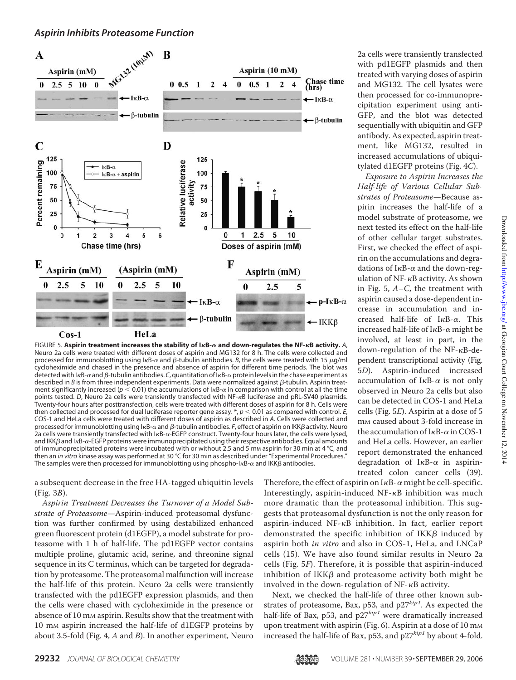#### *Aspirin Inhibits Proteasome Function*



FIGURE 5. **Aspirin treatment increases the stability of IB-**- **and down-regulates the NF-B activity.** *A*, Neuro 2a cells were treated with different doses of aspirin and MG132 for 8 h. The cells were collected and processed for immunoblotting using  $I \kappa B$ - $\alpha$  and  $\beta$ -tubulin antibodies. *B*, the cells were treated with 15  $\mu$ g/ml cycloheximide and chased in the presence and absence of aspirin for different time periods. The blot was detected with l<sub>K</sub>B-α and β-tubulin antibodies. C, quantitation of l<sub>K</sub>B-α protein levels in the chase experiment as described in *B* is from three independent experiments. Data were normalized against  $\beta$ -tubulin. Aspirin treatment significantly increased ( $p < 0.01$ ) the accumulations of  $I_{\rm R}$ - $\alpha$  in comparison with control at all the time points tested. *D*, Neuro 2a cells were transiently transfected with NF-<sub>KB</sub> luciferase and pRL-SV40 plasmids. Twenty-four hours after posttransfection, cells were treated with different doses of aspirin for 8 h. Cells were then collected and processed for dual luciferase reporter gene assay.  $*, p < 0.01$  as compared with control.  $E$ , COS-1 and HeLa cells were treated with different doses of aspirin as described in *A*. Cells were collected and processed for immunoblotting using l<sub>K</sub>B-α and β-tubulin antibodies. *F*, effect of aspirin on IKKβ activity. Neuro 2a cells were transiently transfected with  $1 \kappa B$ - $\alpha$ -EGFP construct. Twenty-four hours later, the cells were lysed, and IKK $\beta$  and I $\kappa$ B- $\alpha$ -EGFP proteins were immunoprecipitated using their respective antibodies. Equal amounts of immunoprecipitated proteins were incubated with or without 2.5 and 5 mm aspirin for 30 min at 4 °C, and then an *in vitro* kinase assay was performed at 30 °C for 30 min as described under "Experimental Procedures." The samples were then processed for immunoblotting using phospho-I $\kappa$ B- $\alpha$  and IKK $\beta$  antibodies.

a subsequent decrease in the free HA-tagged ubiquitin levels (Fig. 3B).

Aspirin Treatment Decreases the Turnover of a Model Substrate of Proteasome—Aspirin-induced proteasomal dysfunction was further confirmed by using destabilized enhanced green fluorescent protein (d1EGFP), a model substrate for proteasome with 1 h of half-life. The pd1EGFP vector contains multiple proline, glutamic acid, serine, and threonine signal sequence in its C terminus, which can be targeted for degradation by proteasome. The proteasomal malfunction will increase the half-life of this protein. Neuro 2a cells were transiently transfected with the pd1EGFP expression plasmids, and then the cells were chased with cycloheximide in the presence or absence of 10 mm aspirin. Results show that the treatment with 10 mM aspirin increased the half-life of d1EGFP proteins by about 3.5-fold (Fig. 4,  $A$  and  $B$ ). In another experiment, Neuro

2a cells were transiently transfected with pd1EGFP plasmids and then treated with varying doses of aspirin and MG132. The cell lysates were then processed for co-immunoprecipitation experiment using anti-GFP, and the blot was detected sequentially with ubiquitin and GFP antibody. As expected, aspirin treatment, like MG132, resulted in increased accumulations of ubiquitylated d1EGFP proteins (Fig. 4C).

Exposure to Aspirin Increases the Half-life of Various Cellular Substrates of Proteasome—Because aspirin increases the half-life of a model substrate of proteasome, we next tested its effect on the half-life of other cellular target substrates. First, we checked the effect of aspirin on the accumulations and degradations of  $I\kappa B$ - $\alpha$  and the down-regulation of  $NF$ - $\kappa$ B activity. As shown in Fig. 5,  $A - C$ , the treatment with aspirin caused a dose-dependent increase in accumulation and increased half-life of  $I \kappa B$ - $\alpha$ . This increased half-life of  $I\kappa B$ - $\alpha$  might be involved, at least in part, in the down-regulation of the NF- $\kappa$ B-dependent transcriptional activity (Fig. 5D). Aspirin-induced increased accumulation of  $I \kappa B$ - $\alpha$  is not only observed in Neuro 2a cells but also can be detected in COS-1 and HeLa cells (Fig. 5E). Aspirin at a dose of 5 mM caused about 3-fold increase in the accumulation of  $I<sub>K</sub>B- $\alpha$  in COS-1$ and HeLa cells. However, an earlier report demonstrated the enhanced degradation of  $I \kappa B - \alpha$  in aspirintreated colon cancer cells (39).

Therefore, the effect of aspirin on  $I \kappa B$ - $\alpha$  might be cell-specific. Interestingly, aspirin-induced  $NF-\kappa B$  inhibition was much more dramatic than the proteasomal inhibition. This suggests that proteasomal dysfunction is not the only reason for aspirin-induced NF- $\kappa$ B inhibition. In fact, earlier report demonstrated the specific inhibition of  $IKK\beta$  induced by aspirin both in vitro and also in COS-1, HeLa, and LNCaP cells (15). We have also found similar results in Neuro 2a cells (Fig. 5F). Therefore, it is possible that aspirin-induced inhibition of IKK $\beta$  and proteasome activity both might be involved in the down-regulation of  $NF$ - $\kappa$ B activity.

Next, we checked the half-life of three other known substrates of proteasome, Bax, p53, and  $p27^{kip1}$ . As expected the half-life of Bax, p53, and  $p27^{kip1}$  were dramatically increased upon treatment with aspirin (Fig. 6). Aspirin at a dose of 10 mm increased the half-life of Bax, p53, and  $p27^{kip1}$  by about 4-fold.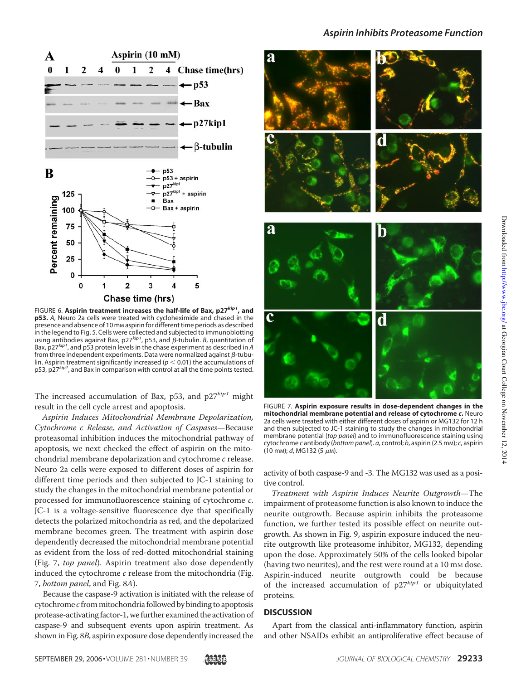

FIGURE 6. **Aspirin treatment increases the half-life of Bax, p27***kip1***, and p53.** *A*, Neuro 2a cells were treated with cycloheximide and chased in the presence and absence of 10 mm aspirin for different time periods as described in the legend to Fig. 5. Cells were collected and subjected to immunoblotting using antibodies against Bax, p27<sup>kip1</sup>, p53, and *β*-tubulin. *B*, quantitation of<br>Bax, p27<sup>kip1</sup>, and p53 protein levels in the chase experiment as described in *A* from three independent experiments. Data were normalized against  $\beta$ -tubulin. Aspirin treatment significantly increased ( $p < 0.01$ ) the accumulations of p53, p27*kip1*, and Bax in comparison with control at all the time points tested.

The increased accumulation of Bax, p53, and  $p27^{kip1}$  might result in the cell cycle arrest and apoptosis.

Aspirin Induces Mitochondrial Membrane Depolarization, Cytochrome c Release, and Activation of Caspases—Because proteasomal inhibition induces the mitochondrial pathway of apoptosis, we next checked the effect of aspirin on the mitochondrial membrane depolarization and cytochrome c release. Neuro 2a cells were exposed to different doses of aspirin for different time periods and then subjected to JC-1 staining to study the changes in the mitochondrial membrane potential or processed for immunofluorescence staining of cytochrome c. JC-1 is a voltage-sensitive fluorescence dye that specifically detects the polarized mitochondria as red, and the depolarized membrane becomes green. The treatment with aspirin dose dependently decreased the mitochondrial membrane potential as evident from the loss of red-dotted mitochondrial staining (Fig. 7, top panel). Aspirin treatment also dose dependently induced the cytochrome  $c$  release from the mitochondria (Fig. 7, bottom panel, and Fig. 8A).

Because the caspase-9 activation is initiated with the release of  $c$ ytochrome  $c$  from mitochondria followed by binding to apoptosis protease-activating factor-1, we further examined the activation of caspase-9 and subsequent events upon aspirin treatment. As shown in Fig. 8B, aspirin exposure dose dependently increased the



FIGURE 7. **Aspirin exposure results in dose-dependent changes in the mitochondrial membrane potential and release of cytochrome** *c***.** Neuro 2a cells were treated with either different doses of aspirin or MG132 for 12 h and then subjected to JC-1 staining to study the changes in mitochondrial membrane potential (*top panel*) and to immunofluorescence staining using cytochrome *c* antibody (*bottom panel*). *a*, control; *b*, aspirin (2.5 mM); *c*, aspirin

activity of both caspase-9 and -3. The MG132 was used as a positive control.

Treatment with Aspirin Induces Neurite Outgrowth—The impairment of proteasome function is also known to induce the neurite outgrowth. Because aspirin inhibits the proteasome function, we further tested its possible effect on neurite outgrowth. As shown in Fig. 9, aspirin exposure induced the neurite outgrowth like proteasome inhibitor, MG132, depending upon the dose. Approximately 50% of the cells looked bipolar (having two neurites), and the rest were round at a 10 mm dose. Aspirin-induced neurite outgrowth could be because of the increased accumulation of  $p27^{kip1}$  or ubiquitylated proteins.

#### **DISCUSSION**

 $(10 \text{ mm})$ ; *d*, MG132 (5  $\mu$ m).

Apart from the classical anti-inflammatory function, aspirin and other NSAIDs exhibit an antiproliferative effect because of

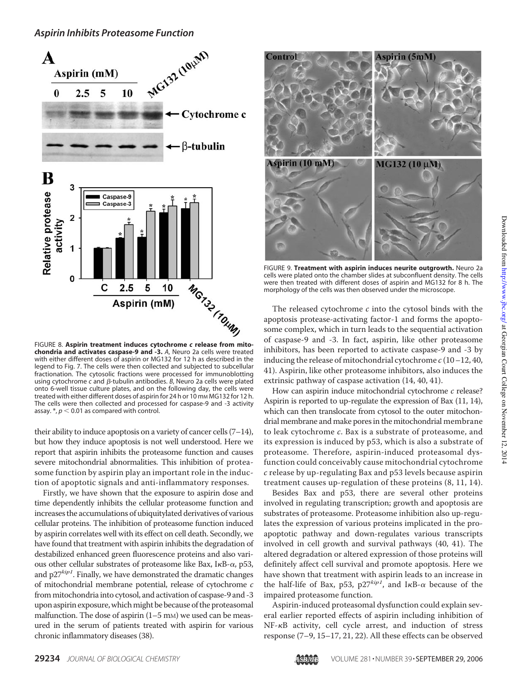

**chondria and activates caspase-9 and -3.** *A*, Neuro 2a cells were treated with either different doses of aspirin or MG132 for 12 h as described in the legend to Fig. 7. The cells were then collected and subjected to subcellular fractionation. The cytosolic fractions were processed for immunoblotting using cytochrome *c* and β-tubulin antibodies. *B*, Neuro 2a cells were plated onto 6-well tissue culture plates, and on the following day, the cells were treated with either different doses of aspirin for 24 h or 10 mm MG132 for 12 h. The cells were then collected and processed for caspase-9 and -3 activity assay.  $*, p < 0.01$  as compared with control.

their ability to induce apoptosis on a variety of cancer cells  $(7-14)$ , but how they induce apoptosis is not well understood. Here we report that aspirin inhibits the proteasome function and causes severe mitochondrial abnormalities. This inhibition of proteasome function by aspirin play an important role in the induction of apoptotic signals and anti-inflammatory responses.

Firstly, we have shown that the exposure to aspirin dose and time dependently inhibits the cellular proteasome function and increases the accumulations of ubiquitylated derivatives of various cellular proteins. The inhibition of proteasome function induced by aspirin correlates well with its effect on cell death. Secondly, we have found that treatment with aspirin inhibits the degradation of destabilized enhanced green fluorescence proteins and also various other cellular substrates of proteasome like Bax,  $I \kappa B$ - $\alpha$ , p53, and  $p27^{kip1}$ . Finally, we have demonstrated the dramatic changes of mitochondrial membrane potential, release of cytochrome c from mitochondria into cytosol, and activation of caspase-9 and -3 upon aspirin exposure, which might be because of the proteasomal malfunction. The dose of aspirin  $(1–5 \text{ mm})$  we used can be measured in the serum of patients treated with aspirin for various chronic inflammatory diseases (38).



FIGURE 9. **Treatment with aspirin induces neurite outgrowth.** Neuro 2a cells were plated onto the chamber slides at subconfluent density. The cells were then treated with different doses of aspirin and MG132 for 8 h. The morphology of the cells was then observed under the microscope.

The released cytochrome  $c$  into the cytosol binds with the apoptosis protease-activating factor-1 and forms the apoptosome complex, which in turn leads to the sequential activation of caspase-9 and -3. In fact, aspirin, like other proteasome inhibitors, has been reported to activate caspase-9 and -3 by inducing the release of mitochondrial cytochrome  $c(10-12, 40, 40)$ 41). Aspirin, like other proteasome inhibitors, also induces the extrinsic pathway of caspase activation (14, 40, 41).

How can aspirin induce mitochondrial cytochrome  $c$  release? Aspirin is reported to up-regulate the expression of Bax (11, 14), which can then translocate from cytosol to the outer mitochondrial membrane and make pores in the mitochondrial membrane to leak cytochrome c. Bax is a substrate of proteasome, and its expression is induced by p53, which is also a substrate of proteasome. Therefore, aspirin-induced proteasomal dysfunction could conceivably cause mitochondrial cytochrome c release by up-regulating Bax and p53 levels because aspirin treatment causes up-regulation of these proteins (8, 11, 14).

Besides Bax and p53, there are several other proteins involved in regulating transcription; growth and apoptosis are substrates of proteasome. Proteasome inhibition also up-regulates the expression of various proteins implicated in the proapoptotic pathway and down-regulates various transcripts involved in cell growth and survival pathways (40, 41). The altered degradation or altered expression of those proteins will definitely affect cell survival and promote apoptosis. Here we have shown that treatment with aspirin leads to an increase in the half-life of Bax, p53, p27 $kip1$ , and IKB- $\alpha$  because of the impaired proteasome function.

Aspirin-induced proteasomal dysfunction could explain several earlier reported effects of aspirin including inhibition of NF- $\kappa$ B activity, cell cycle arrest, and induction of stress response (7–9, 15–17, 21, 22). All these effects can be observed